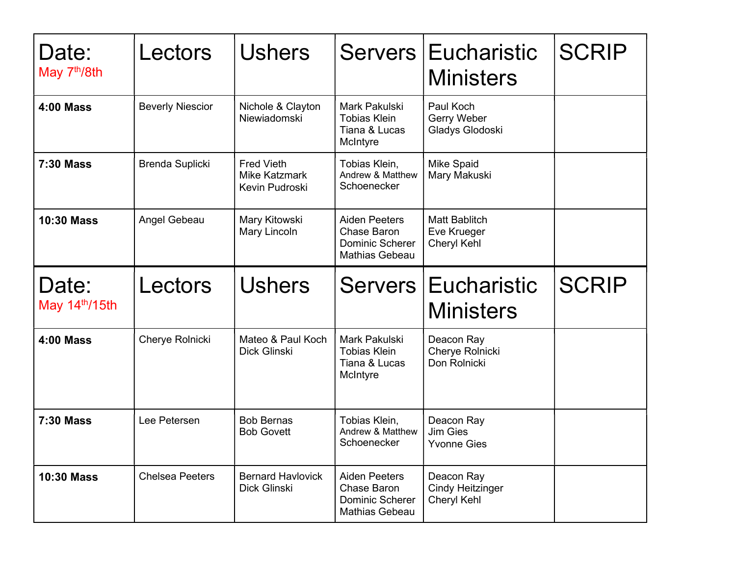| Date:<br>May 7 <sup>th</sup> /8th | Lectors                 | <b>Ushers</b>                                               |                                                                                        | Servers Eucharistic<br><b>Ministers</b>              | <b>SCRIP</b> |
|-----------------------------------|-------------------------|-------------------------------------------------------------|----------------------------------------------------------------------------------------|------------------------------------------------------|--------------|
| <b>4:00 Mass</b>                  | <b>Beverly Niescior</b> | Nichole & Clayton<br>Niewiadomski                           | Mark Pakulski<br><b>Tobias Klein</b><br>Tiana & Lucas<br>McIntyre                      | Paul Koch<br>Gerry Weber<br>Gladys Glodoski          |              |
| <b>7:30 Mass</b>                  | Brenda Suplicki         | <b>Fred Vieth</b><br><b>Mike Katzmark</b><br>Kevin Pudroski | Tobias Klein,<br>Andrew & Matthew<br>Schoenecker                                       | <b>Mike Spaid</b><br>Mary Makuski                    |              |
| <b>10:30 Mass</b>                 | Angel Gebeau            | Mary Kitowski<br>Mary Lincoln                               | <b>Aiden Peeters</b><br>Chase Baron<br><b>Dominic Scherer</b><br><b>Mathias Gebeau</b> | <b>Matt Bablitch</b><br>Eve Krueger<br>Cheryl Kehl   |              |
| Date:<br>May $14th/15th$          | Lectors                 | <b>Ushers</b>                                               |                                                                                        | Servers Eucharistic<br><b>Ministers</b>              | <b>SCRIP</b> |
| <b>4:00 Mass</b>                  | Cherye Rolnicki         | Mateo & Paul Koch<br>Dick Glinski                           | Mark Pakulski<br><b>Tobias Klein</b><br>Tiana & Lucas<br>McIntyre                      | Deacon Ray<br>Cherye Rolnicki<br>Don Rolnicki        |              |
| <b>7:30 Mass</b>                  | Lee Petersen            | <b>Bob Bernas</b><br><b>Bob Govett</b>                      | Tobias Klein,<br>Andrew & Matthew<br>Schoenecker                                       | Deacon Ray<br><b>Jim Gies</b><br><b>Yvonne Gies</b>  |              |
| <b>10:30 Mass</b>                 | <b>Chelsea Peeters</b>  | <b>Bernard Havlovick</b><br>Dick Glinski                    | <b>Aiden Peeters</b><br>Chase Baron<br><b>Dominic Scherer</b><br>Mathias Gebeau        | Deacon Ray<br><b>Cindy Heitzinger</b><br>Cheryl Kehl |              |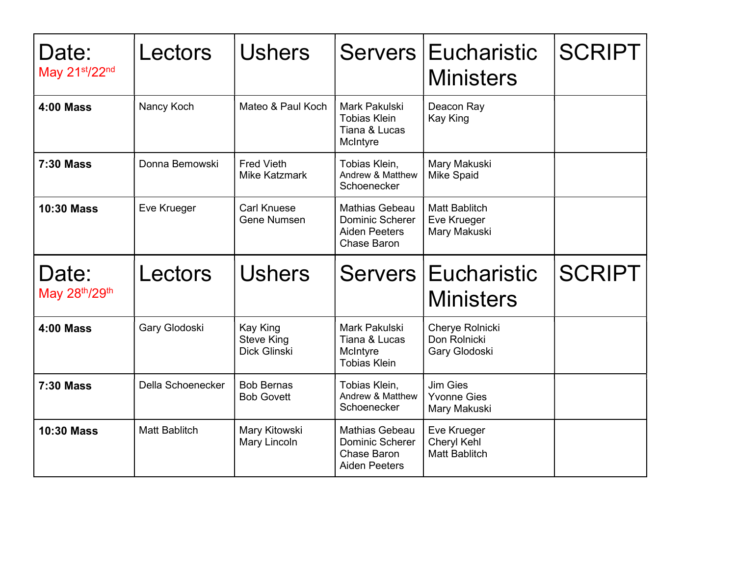| Date:<br>May 21st/22nd | Lectors           | <b>Ushers</b>                                 |                                                                                        | Servers Eucharistic<br><b>Ministers</b>             | <b>SCRIPT</b> |
|------------------------|-------------------|-----------------------------------------------|----------------------------------------------------------------------------------------|-----------------------------------------------------|---------------|
| <b>4:00 Mass</b>       | Nancy Koch        | Mateo & Paul Koch                             | Mark Pakulski<br><b>Tobias Klein</b><br>Tiana & Lucas<br>McIntyre                      | Deacon Ray<br>Kay King                              |               |
| <b>7:30 Mass</b>       | Donna Bemowski    | <b>Fred Vieth</b><br><b>Mike Katzmark</b>     | Tobias Klein,<br>Andrew & Matthew<br>Schoenecker                                       | Mary Makuski<br><b>Mike Spaid</b>                   |               |
| <b>10:30 Mass</b>      | Eve Krueger       | <b>Carl Knuese</b><br><b>Gene Numsen</b>      | <b>Mathias Gebeau</b><br><b>Dominic Scherer</b><br><b>Aiden Peeters</b><br>Chase Baron | <b>Matt Bablitch</b><br>Eve Krueger<br>Mary Makuski |               |
|                        |                   |                                               |                                                                                        |                                                     |               |
| Date:<br>May 28th/29th | Lectors           | <b>Ushers</b>                                 |                                                                                        | Servers Eucharistic<br><b>Ministers</b>             | <b>SCRIPT</b> |
| <b>4:00 Mass</b>       | Gary Glodoski     | Kay King<br><b>Steve King</b><br>Dick Glinski | Mark Pakulski<br>Tiana & Lucas<br>McIntyre<br><b>Tobias Klein</b>                      | Cherye Rolnicki<br>Don Rolnicki<br>Gary Glodoski    |               |
| <b>7:30 Mass</b>       | Della Schoenecker | <b>Bob Bernas</b><br><b>Bob Govett</b>        | Tobias Klein,<br>Andrew & Matthew<br>Schoenecker                                       | Jim Gies<br><b>Yvonne Gies</b><br>Mary Makuski      |               |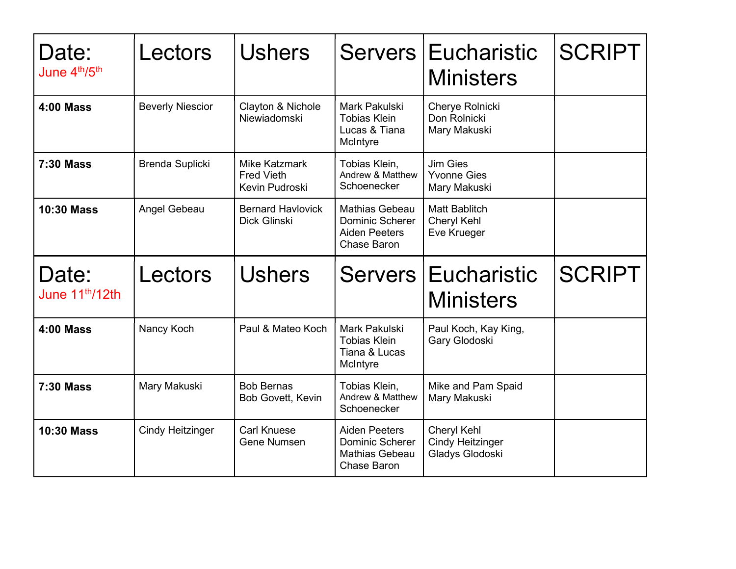| Date:<br>June 4th/5th                | Lectors                 | <b>Ushers</b>                                               |                                                                                        | Servers Eucharistic<br><b>Ministers</b>               | <b>SCRIPT</b> |
|--------------------------------------|-------------------------|-------------------------------------------------------------|----------------------------------------------------------------------------------------|-------------------------------------------------------|---------------|
| <b>4:00 Mass</b>                     | <b>Beverly Niescior</b> | Clayton & Nichole<br>Niewiadomski                           | Mark Pakulski<br><b>Tobias Klein</b><br>Lucas & Tiana<br>McIntyre                      | Cherye Rolnicki<br>Don Rolnicki<br>Mary Makuski       |               |
| <b>7:30 Mass</b>                     | <b>Brenda Suplicki</b>  | <b>Mike Katzmark</b><br><b>Fred Vieth</b><br>Kevin Pudroski | Tobias Klein,<br>Andrew & Matthew<br>Schoenecker                                       | <b>Jim Gies</b><br><b>Yvonne Gies</b><br>Mary Makuski |               |
| <b>10:30 Mass</b>                    | Angel Gebeau            | <b>Bernard Havlovick</b><br>Dick Glinski                    | <b>Mathias Gebeau</b><br><b>Dominic Scherer</b><br><b>Aiden Peeters</b><br>Chase Baron | <b>Matt Bablitch</b><br>Cheryl Kehl<br>Eve Krueger    |               |
|                                      |                         |                                                             |                                                                                        |                                                       |               |
| Date:<br>June 11 <sup>th</sup> /12th | Lectors                 | <b>Ushers</b>                                               |                                                                                        | Servers Eucharistic<br><b>Ministers</b>               | <b>SCRIPT</b> |
| <b>4:00 Mass</b>                     | Nancy Koch              | Paul & Mateo Koch                                           | Mark Pakulski<br><b>Tobias Klein</b><br>Tiana & Lucas<br>McIntyre                      | Paul Koch, Kay King,<br>Gary Glodoski                 |               |
| <b>7:30 Mass</b>                     | Mary Makuski            | <b>Bob Bernas</b><br>Bob Govett, Kevin                      | Tobias Klein,<br>Andrew & Matthew<br>Schoenecker                                       | Mike and Pam Spaid<br>Mary Makuski                    |               |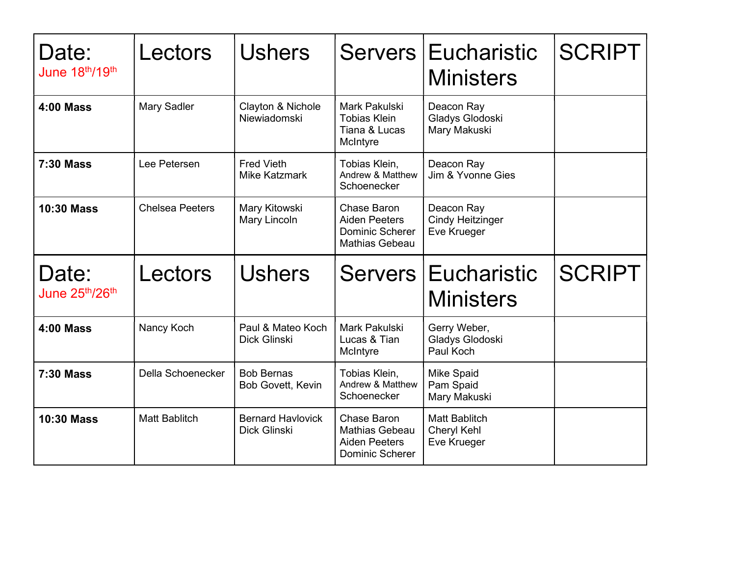| Date:<br>June 18th/19th | Lectors                | <b>Ushers</b>                             |                                                                                        | Servers Eucharistic<br><b>Ministers</b>              | <b>SCRIPT</b> |
|-------------------------|------------------------|-------------------------------------------|----------------------------------------------------------------------------------------|------------------------------------------------------|---------------|
| <b>4:00 Mass</b>        | Mary Sadler            | Clayton & Nichole<br>Niewiadomski         | Mark Pakulski<br><b>Tobias Klein</b><br>Tiana & Lucas<br>McIntyre                      | Deacon Ray<br>Gladys Glodoski<br>Mary Makuski        |               |
| <b>7:30 Mass</b>        | Lee Petersen           | <b>Fred Vieth</b><br><b>Mike Katzmark</b> | Tobias Klein,<br>Andrew & Matthew<br>Schoenecker                                       | Deacon Ray<br>Jim & Yvonne Gies                      |               |
| <b>10:30 Mass</b>       | <b>Chelsea Peeters</b> | Mary Kitowski<br>Mary Lincoln             | Chase Baron<br><b>Aiden Peeters</b><br><b>Dominic Scherer</b><br><b>Mathias Gebeau</b> | Deacon Ray<br><b>Cindy Heitzinger</b><br>Eve Krueger |               |
|                         |                        |                                           |                                                                                        |                                                      |               |
| Date:<br>June 25th/26th | Lectors                | <b>Ushers</b>                             |                                                                                        | Servers Eucharistic<br><b>Ministers</b>              | <b>SCRIPT</b> |
| <b>4:00 Mass</b>        | Nancy Koch             | Paul & Mateo Koch<br>Dick Glinski         | Mark Pakulski<br>Lucas & Tian<br>McIntyre                                              | Gerry Weber,<br>Gladys Glodoski<br>Paul Koch         |               |
| <b>7:30 Mass</b>        | Della Schoenecker      | <b>Bob Bernas</b><br>Bob Govett, Kevin    | Tobias Klein,<br>Andrew & Matthew<br>Schoenecker                                       | <b>Mike Spaid</b><br>Pam Spaid<br>Mary Makuski       |               |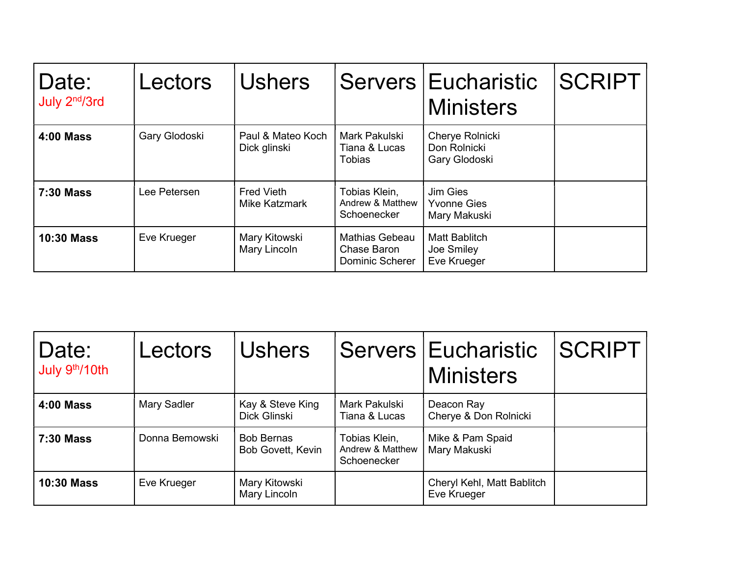| Date:<br>July 2 <sup>nd</sup> /3rd | Lectors       | <b>Ushers</b>                      |                                                         | Servers   Eucharistic<br><b>Ministers</b>         | <b>SCRIPT</b> |
|------------------------------------|---------------|------------------------------------|---------------------------------------------------------|---------------------------------------------------|---------------|
| <b>4:00 Mass</b>                   | Gary Glodoski | Paul & Mateo Koch<br>Dick glinski  | Mark Pakulski<br>Tiana & Lucas<br><b>Tobias</b>         | Cherye Rolnicki<br>Don Rolnicki<br>Gary Glodoski  |               |
| <b>7:30 Mass</b>                   | Lee Petersen  | Fred Vieth<br><b>Mike Katzmark</b> | Tobias Klein,<br>Andrew & Matthew<br>Schoenecker        | Jim Gies<br><b>Yvonne Gies</b><br>Mary Makuski    |               |
| <b>10:30 Mass</b>                  | Eve Krueger   | Mary Kitowski<br>Mary Lincoln      | <b>Mathias Gebeau</b><br>Chase Baron<br>Dominic Scherer | <b>Matt Bablitch</b><br>Joe Smiley<br>Eve Krueger |               |

| Date:<br>July 9th/10th | Lectors        | <b>Ushers</b>                          |                                                  | Servers   Eucharistic<br><b>Ministers</b> | <b>SCRIPT</b> |
|------------------------|----------------|----------------------------------------|--------------------------------------------------|-------------------------------------------|---------------|
| <b>4:00 Mass</b>       | Mary Sadler    | Kay & Steve King<br>Dick Glinski       | Mark Pakulski<br>Tiana & Lucas                   | Deacon Ray<br>Cherye & Don Rolnicki       |               |
| <b>7:30 Mass</b>       | Donna Bemowski | <b>Bob Bernas</b><br>Bob Govett, Kevin | Tobias Klein,<br>Andrew & Matthew<br>Schoenecker | Mike & Pam Spaid<br>Mary Makuski          |               |
| <b>10:30 Mass</b>      | Eve Krueger    | Mary Kitowski<br>Mary Lincoln          |                                                  | Cheryl Kehl, Matt Bablitch<br>Eve Krueger |               |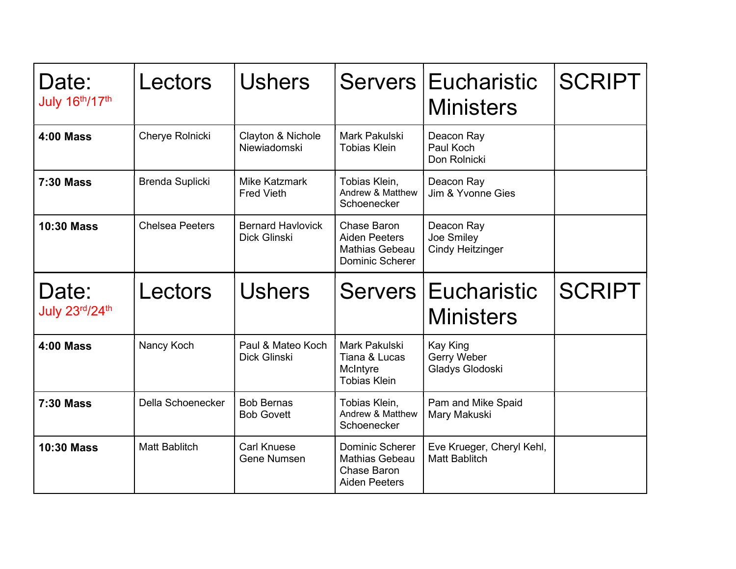| Date:<br>July 16th/17th | Lectors                | <b>Ushers</b>                                   |                                                                                 | Servers Eucharistic<br><b>Ministers</b>             | <b>SCRIPT</b> |
|-------------------------|------------------------|-------------------------------------------------|---------------------------------------------------------------------------------|-----------------------------------------------------|---------------|
| <b>4:00 Mass</b>        | Cherye Rolnicki        | Clayton & Nichole<br>Niewiadomski               | Mark Pakulski<br><b>Tobias Klein</b>                                            | Deacon Ray<br>Paul Koch<br>Don Rolnicki             |               |
| <b>7:30 Mass</b>        | Brenda Suplicki        | Mike Katzmark<br><b>Fred Vieth</b>              | Tobias Klein,<br>Andrew & Matthew<br>Schoenecker                                | Deacon Ray<br>Jim & Yvonne Gies                     |               |
| <b>10:30 Mass</b>       | <b>Chelsea Peeters</b> | <b>Bernard Havlovick</b><br><b>Dick Glinski</b> | <b>Chase Baron</b><br><b>Aiden Peeters</b><br>Mathias Gebeau<br>Dominic Scherer | Deacon Ray<br>Joe Smiley<br><b>Cindy Heitzinger</b> |               |
|                         |                        |                                                 |                                                                                 |                                                     |               |
| Date:<br>July 23rd/24th | Lectors                | <b>Ushers</b>                                   |                                                                                 | Servers Eucharistic<br><b>Ministers</b>             | <b>SCRIPT</b> |
| <b>4:00 Mass</b>        | Nancy Koch             | Paul & Mateo Koch<br>Dick Glinski               | Mark Pakulski<br>Tiana & Lucas<br>McIntyre<br><b>Tobias Klein</b>               | <b>Kay King</b><br>Gerry Weber<br>Gladys Glodoski   |               |
| <b>7:30 Mass</b>        | Della Schoenecker      | <b>Bob Bernas</b><br><b>Bob Govett</b>          | Tobias Klein,<br>Andrew & Matthew<br>Schoenecker                                | Pam and Mike Spaid<br>Mary Makuski                  |               |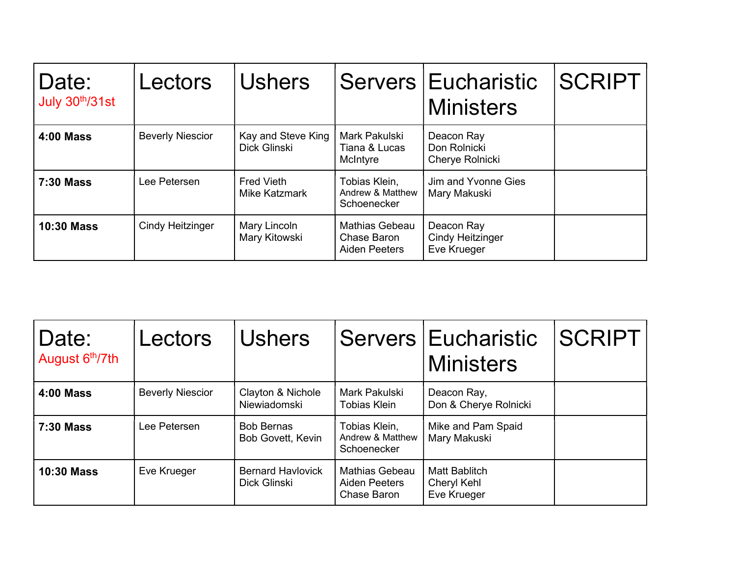| Date:<br>July 30th/31st | Lectors                 | <b>Ushers</b>                      |                                                              | Servers   Eucharistic<br><b>Ministers</b>            | <b>ISCRIPT</b> |
|-------------------------|-------------------------|------------------------------------|--------------------------------------------------------------|------------------------------------------------------|----------------|
| <b>4:00 Mass</b>        | <b>Beverly Niescior</b> | Kay and Steve King<br>Dick Glinski | Mark Pakulski<br>Tiana & Lucas<br>McIntyre                   | Deacon Ray<br>Don Rolnicki<br>Cherye Rolnicki        |                |
| <b>7:30 Mass</b>        | Lee Petersen            | <b>Fred Vieth</b><br>Mike Katzmark | Tobias Klein,<br>Andrew & Matthew<br>Schoenecker             | Jim and Yvonne Gies<br>Mary Makuski                  |                |
| <b>10:30 Mass</b>       | <b>Cindy Heitzinger</b> | Mary Lincoln<br>Mary Kitowski      | <b>Mathias Gebeau</b><br>Chase Baron<br><b>Aiden Peeters</b> | Deacon Ray<br><b>Cindy Heitzinger</b><br>Eve Krueger |                |

| Date:<br>August 6th/7th | Lectors                 | <b>Ushers</b>                            |                                                              | Servers   Eucharistic<br><b>Ministers</b>   | <b>SCRIPT</b> |
|-------------------------|-------------------------|------------------------------------------|--------------------------------------------------------------|---------------------------------------------|---------------|
| <b>4:00 Mass</b>        | <b>Beverly Niescior</b> | Clayton & Nichole<br>Niewiadomski        | Mark Pakulski<br><b>Tobias Klein</b>                         | Deacon Ray,<br>Don & Cherye Rolnicki        |               |
| <b>7:30 Mass</b>        | Lee Petersen            | <b>Bob Bernas</b><br>Bob Govett, Kevin   | Tobias Klein,<br>Andrew & Matthew<br>Schoenecker             | Mike and Pam Spaid<br>Mary Makuski          |               |
| <b>10:30 Mass</b>       | Eve Krueger             | <b>Bernard Havlovick</b><br>Dick Glinski | <b>Mathias Gebeau</b><br><b>Aiden Peeters</b><br>Chase Baron | Matt Bablitch<br>Cheryl Kehl<br>Eve Krueger |               |